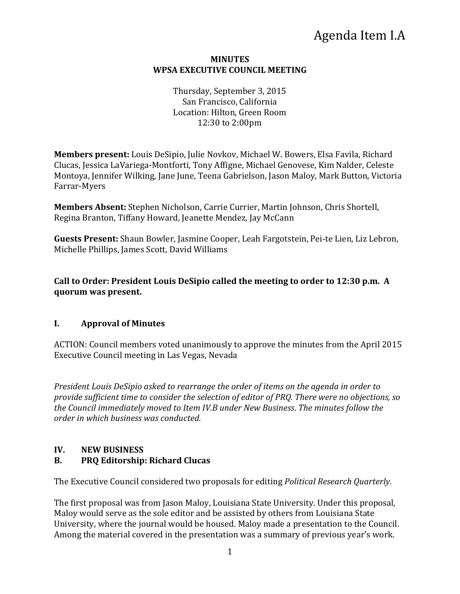# Agenda Item I.A

#### **MINUTES WPSA EXECUTIVE COUNCIL MEETING**

Thursday, September 3, 2015 San Francisco, California Location: Hilton, Green Room 12:30 to 2:00pm

**Members present:** Louis DeSipio, Julie Novkov, Michael W. Bowers, Elsa Favila, Richard Clucas, Jessica LaVariega-Montforti, Tony Affigne, Michael Genovese, Kim Nalder, Celeste Montoya, Jennifer Wilking, Jane June, Teena Gabrielson, Jason Maloy, Mark Button, Victoria Farrar-Myers

**Members Absent:** Stephen Nicholson, Carrie Currier, Martin Johnson, Chris Shortell, Regina Branton, Tiffany Howard, Jeanette Mendez, Jay McCann

**Guests Present:** Shaun Bowler, Jasmine Cooper, Leah Fargotstein, Pei-te Lien, Liz Lebron, Michelle Phillips, James Scott, David Williams

**Call to Order: President Louis DeSipio called the meeting to order to 12:30 p.m. A quorum was present.**

## **I. Approval of Minutes**

ACTION: Council members voted unanimously to approve the minutes from the April 2015 Executive Council meeting in Las Vegas, Nevada

*President Louis DeSipio asked to rearrange the order of items on the agenda in order to provide sufficient time to consider the selection of editor of PRQ. There were no objections, so the Council immediately moved to Item IV.B under New Business*. *The minutes follow the order in which business was conducted.*

### **IV. NEW BUSINESS**

### **B. PRQ Editorship: Richard Clucas**

The Executive Council considered two proposals for editing *Political Research Quarterly.* 

The first proposal was from Jason Maloy, Louisiana State University. Under this proposal, Maloy would serve as the sole editor and be assisted by others from Louisiana State University, where the journal would be housed. Maloy made a presentation to the Council. Among the material covered in the presentation was a summary of previous year's work.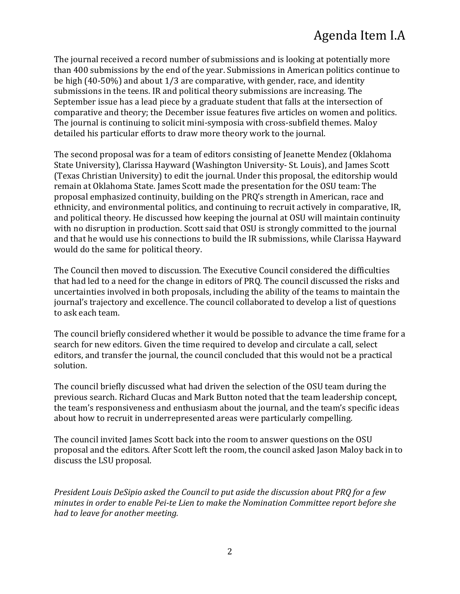# Agenda Item I.A

The journal received a record number of submissions and is looking at potentially more than 400 submissions by the end of the year. Submissions in American politics continue to be high (40-50%) and about 1/3 are comparative, with gender, race, and identity submissions in the teens. IR and political theory submissions are increasing. The September issue has a lead piece by a graduate student that falls at the intersection of comparative and theory; the December issue features five articles on women and politics. The journal is continuing to solicit mini-symposia with cross-subfield themes. Maloy detailed his particular efforts to draw more theory work to the journal.

The second proposal was for a team of editors consisting of Jeanette Mendez (Oklahoma State University), Clarissa Hayward (Washington University- St. Louis), and James Scott (Texas Christian University) to edit the journal. Under this proposal, the editorship would remain at Oklahoma State. James Scott made the presentation for the OSU team: The proposal emphasized continuity, building on the PRQ's strength in American, race and ethnicity, and environmental politics, and continuing to recruit actively in comparative, IR, and political theory. He discussed how keeping the journal at OSU will maintain continuity with no disruption in production. Scott said that OSU is strongly committed to the journal and that he would use his connections to build the IR submissions, while Clarissa Hayward would do the same for political theory.

The Council then moved to discussion. The Executive Council considered the difficulties that had led to a need for the change in editors of PRQ. The council discussed the risks and uncertainties involved in both proposals, including the ability of the teams to maintain the journal's trajectory and excellence. The council collaborated to develop a list of questions to ask each team.

The council briefly considered whether it would be possible to advance the time frame for a search for new editors. Given the time required to develop and circulate a call, select editors, and transfer the journal, the council concluded that this would not be a practical solution.

The council briefly discussed what had driven the selection of the OSU team during the previous search. Richard Clucas and Mark Button noted that the team leadership concept, the team's responsiveness and enthusiasm about the journal, and the team's specific ideas about how to recruit in underrepresented areas were particularly compelling.

The council invited James Scott back into the room to answer questions on the OSU proposal and the editors. After Scott left the room, the council asked Jason Maloy back in to discuss the LSU proposal.

*President Louis DeSipio asked the Council to put aside the discussion about PRQ for a few minutes in order to enable Pei-te Lien to make the Nomination Committee report before she had to leave for another meeting.*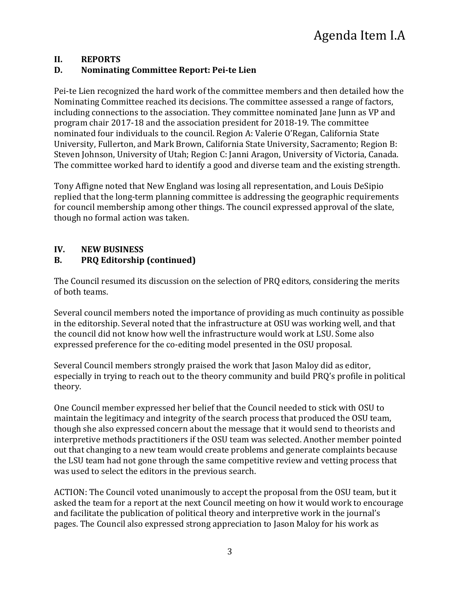## **II. REPORTS**

## **D. Nominating Committee Report: Pei-te Lien**

Pei-te Lien recognized the hard work of the committee members and then detailed how the Nominating Committee reached its decisions. The committee assessed a range of factors, including connections to the association. They committee nominated Jane Junn as VP and program chair 2017-18 and the association president for 2018-19. The committee nominated four individuals to the council. Region A: Valerie O'Regan, California State University, Fullerton, and Mark Brown, California State University, Sacramento; Region B: Steven Johnson, University of Utah; Region C: Janni Aragon, University of Victoria, Canada. The committee worked hard to identify a good and diverse team and the existing strength.

Tony Affigne noted that New England was losing all representation, and Louis DeSipio replied that the long-term planning committee is addressing the geographic requirements for council membership among other things. The council expressed approval of the slate, though no formal action was taken.

## **IV. NEW BUSINESS**

## **B. PRQ Editorship (continued)**

The Council resumed its discussion on the selection of PRQ editors, considering the merits of both teams.

Several council members noted the importance of providing as much continuity as possible in the editorship. Several noted that the infrastructure at OSU was working well, and that the council did not know how well the infrastructure would work at LSU. Some also expressed preference for the co-editing model presented in the OSU proposal.

Several Council members strongly praised the work that Jason Maloy did as editor, especially in trying to reach out to the theory community and build PRQ's profile in political theory.

One Council member expressed her belief that the Council needed to stick with OSU to maintain the legitimacy and integrity of the search process that produced the OSU team, though she also expressed concern about the message that it would send to theorists and interpretive methods practitioners if the OSU team was selected. Another member pointed out that changing to a new team would create problems and generate complaints because the LSU team had not gone through the same competitive review and vetting process that was used to select the editors in the previous search.

ACTION: The Council voted unanimously to accept the proposal from the OSU team, but it asked the team for a report at the next Council meeting on how it would work to encourage and facilitate the publication of political theory and interpretive work in the journal's pages. The Council also expressed strong appreciation to Jason Maloy for his work as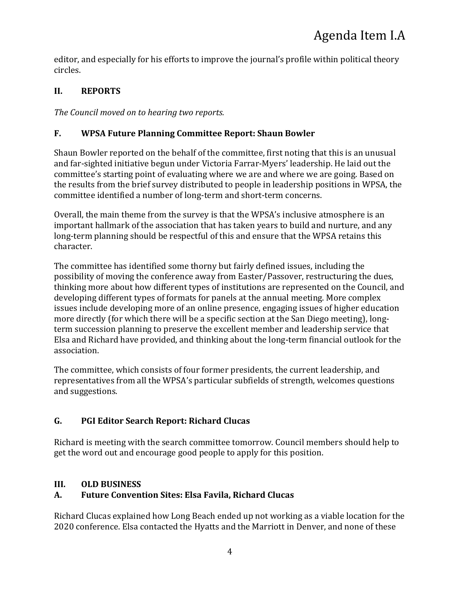editor, and especially for his efforts to improve the journal's profile within political theory circles.

## **II. REPORTS**

*The Council moved on to hearing two reports.*

## **F. WPSA Future Planning Committee Report: Shaun Bowler**

Shaun Bowler reported on the behalf of the committee, first noting that this is an unusual and far-sighted initiative begun under Victoria Farrar-Myers' leadership. He laid out the committee's starting point of evaluating where we are and where we are going. Based on the results from the brief survey distributed to people in leadership positions in WPSA, the committee identified a number of long-term and short-term concerns.

Overall, the main theme from the survey is that the WPSA's inclusive atmosphere is an important hallmark of the association that has taken years to build and nurture, and any long-term planning should be respectful of this and ensure that the WPSA retains this character.

The committee has identified some thorny but fairly defined issues, including the possibility of moving the conference away from Easter/Passover, restructuring the dues, thinking more about how different types of institutions are represented on the Council, and developing different types of formats for panels at the annual meeting. More complex issues include developing more of an online presence, engaging issues of higher education more directly (for which there will be a specific section at the San Diego meeting), longterm succession planning to preserve the excellent member and leadership service that Elsa and Richard have provided, and thinking about the long-term financial outlook for the association.

The committee, which consists of four former presidents, the current leadership, and representatives from all the WPSA's particular subfields of strength, welcomes questions and suggestions.

## **G. PGI Editor Search Report: Richard Clucas**

Richard is meeting with the search committee tomorrow. Council members should help to get the word out and encourage good people to apply for this position.

# **III. OLD BUSINESS**

# **A. Future Convention Sites: Elsa Favila, Richard Clucas**

Richard Clucas explained how Long Beach ended up not working as a viable location for the 2020 conference. Elsa contacted the Hyatts and the Marriott in Denver, and none of these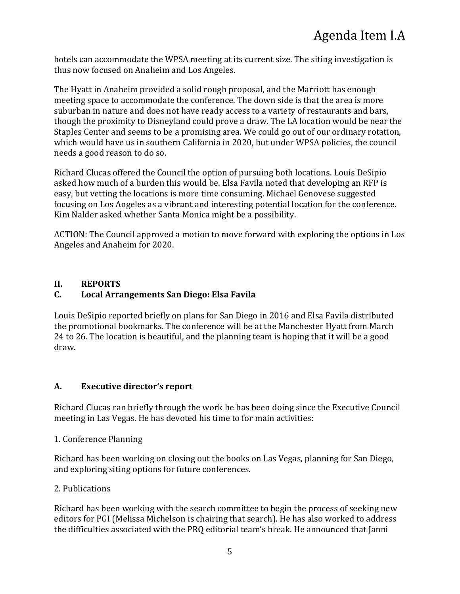hotels can accommodate the WPSA meeting at its current size. The siting investigation is thus now focused on Anaheim and Los Angeles.

The Hyatt in Anaheim provided a solid rough proposal, and the Marriott has enough meeting space to accommodate the conference. The down side is that the area is more suburban in nature and does not have ready access to a variety of restaurants and bars, though the proximity to Disneyland could prove a draw. The LA location would be near the Staples Center and seems to be a promising area. We could go out of our ordinary rotation, which would have us in southern California in 2020, but under WPSA policies, the council needs a good reason to do so.

Richard Clucas offered the Council the option of pursuing both locations. Louis DeSipio asked how much of a burden this would be. Elsa Favila noted that developing an RFP is easy, but vetting the locations is more time consuming. Michael Genovese suggested focusing on Los Angeles as a vibrant and interesting potential location for the conference. Kim Nalder asked whether Santa Monica might be a possibility.

ACTION: The Council approved a motion to move forward with exploring the options in Los Angeles and Anaheim for 2020.

## **II. REPORTS**

## **C. Local Arrangements San Diego: Elsa Favila**

Louis DeSipio reported briefly on plans for San Diego in 2016 and Elsa Favila distributed the promotional bookmarks. The conference will be at the Manchester Hyatt from March 24 to 26. The location is beautiful, and the planning team is hoping that it will be a good draw.

### **A. Executive director's report**

Richard Clucas ran briefly through the work he has been doing since the Executive Council meeting in Las Vegas. He has devoted his time to for main activities:

1. Conference Planning

Richard has been working on closing out the books on Las Vegas, planning for San Diego, and exploring siting options for future conferences.

2. Publications

Richard has been working with the search committee to begin the process of seeking new editors for PGI (Melissa Michelson is chairing that search). He has also worked to address the difficulties associated with the PRQ editorial team's break. He announced that Janni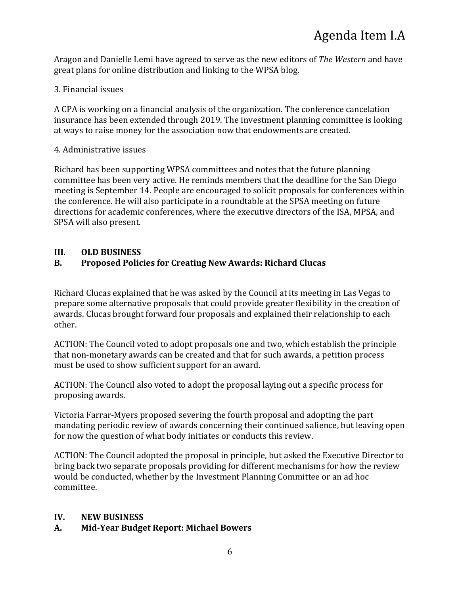Aragon and Danielle Lemi have agreed to serve as the new editors of *The Western* and have great plans for online distribution and linking to the WPSA blog.

## 3. Financial issues

A CPA is working on a financial analysis of the organization. The conference cancelation insurance has been extended through 2019. The investment planning committee is looking at ways to raise money for the association now that endowments are created.

## 4. Administrative issues

Richard has been supporting WPSA committees and notes that the future planning committee has been very active. He reminds members that the deadline for the San Diego meeting is September 14. People are encouraged to solicit proposals for conferences within the conference. He will also participate in a roundtable at the SPSA meeting on future directions for academic conferences, where the executive directors of the ISA, MPSA, and SPSA will also present.

## **III. OLD BUSINESS**

## **B. Proposed Policies for Creating New Awards: Richard Clucas**

Richard Clucas explained that he was asked by the Council at its meeting in Las Vegas to prepare some alternative proposals that could provide greater flexibility in the creation of awards. Clucas brought forward four proposals and explained their relationship to each other.

ACTION: The Council voted to adopt proposals one and two, which establish the principle that non-monetary awards can be created and that for such awards, a petition process must be used to show sufficient support for an award.

ACTION: The Council also voted to adopt the proposal laying out a specific process for proposing awards.

Victoria Farrar-Myers proposed severing the fourth proposal and adopting the part mandating periodic review of awards concerning their continued salience, but leaving open for now the question of what body initiates or conducts this review.

ACTION: The Council adopted the proposal in principle, but asked the Executive Director to bring back two separate proposals providing for different mechanisms for how the review would be conducted, whether by the Investment Planning Committee or an ad hoc committee.

### **IV. NEW BUSINESS**

## **A. Mid-Year Budget Report: Michael Bowers**